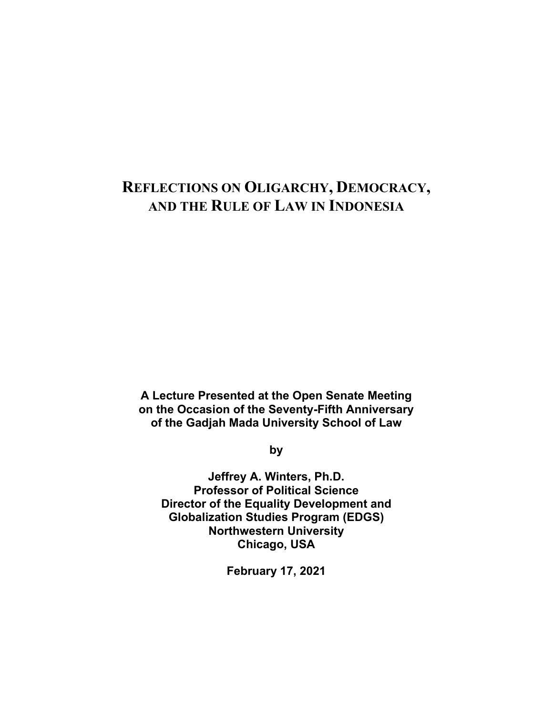# **REFLECTIONS ON OLIGARCHY, DEMOCRACY, AND THE RULE OF LAW IN INDONESIA**

**A Lecture Presented at the Open Senate Meeting on the Occasion of the Seventy-Fifth Anniversary of the Gadjah Mada University School of Law** 

**by** 

**Jeffrey A. Winters, Ph.D. Professor of Political Science Director of the Equality Development and Globalization Studies Program (EDGS) Northwestern University Chicago, USA** 

**February 17, 2021**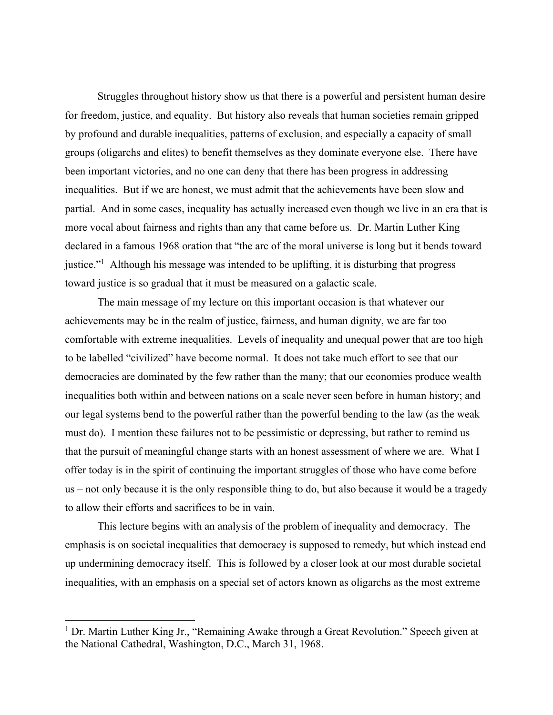Struggles throughout history show us that there is a powerful and persistent human desire for freedom, justice, and equality. But history also reveals that human societies remain gripped by profound and durable inequalities, patterns of exclusion, and especially a capacity of small groups (oligarchs and elites) to benefit themselves as they dominate everyone else. There have been important victories, and no one can deny that there has been progress in addressing inequalities. But if we are honest, we must admit that the achievements have been slow and partial. And in some cases, inequality has actually increased even though we live in an era that is more vocal about fairness and rights than any that came before us. Dr. Martin Luther King declared in a famous 1968 oration that "the arc of the moral universe is long but it bends toward justice."<sup>1</sup> Although his message was intended to be uplifting, it is disturbing that progress toward justice is so gradual that it must be measured on a galactic scale.

 The main message of my lecture on this important occasion is that whatever our achievements may be in the realm of justice, fairness, and human dignity, we are far too comfortable with extreme inequalities. Levels of inequality and unequal power that are too high to be labelled "civilized" have become normal. It does not take much effort to see that our democracies are dominated by the few rather than the many; that our economies produce wealth inequalities both within and between nations on a scale never seen before in human history; and our legal systems bend to the powerful rather than the powerful bending to the law (as the weak must do). I mention these failures not to be pessimistic or depressing, but rather to remind us that the pursuit of meaningful change starts with an honest assessment of where we are. What I offer today is in the spirit of continuing the important struggles of those who have come before us – not only because it is the only responsible thing to do, but also because it would be a tragedy to allow their efforts and sacrifices to be in vain.

 This lecture begins with an analysis of the problem of inequality and democracy. The emphasis is on societal inequalities that democracy is supposed to remedy, but which instead end up undermining democracy itself. This is followed by a closer look at our most durable societal inequalities, with an emphasis on a special set of actors known as oligarchs as the most extreme

<sup>&</sup>lt;sup>1</sup> Dr. Martin Luther King Jr., "Remaining Awake through a Great Revolution." Speech given at the National Cathedral, Washington, D.C., March 31, 1968.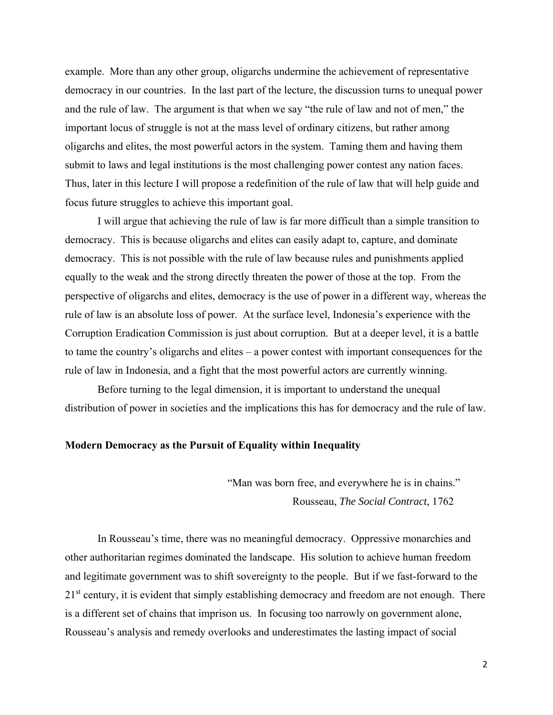example. More than any other group, oligarchs undermine the achievement of representative democracy in our countries. In the last part of the lecture, the discussion turns to unequal power and the rule of law. The argument is that when we say "the rule of law and not of men," the important locus of struggle is not at the mass level of ordinary citizens, but rather among oligarchs and elites, the most powerful actors in the system. Taming them and having them submit to laws and legal institutions is the most challenging power contest any nation faces. Thus, later in this lecture I will propose a redefinition of the rule of law that will help guide and focus future struggles to achieve this important goal.

I will argue that achieving the rule of law is far more difficult than a simple transition to democracy. This is because oligarchs and elites can easily adapt to, capture, and dominate democracy. This is not possible with the rule of law because rules and punishments applied equally to the weak and the strong directly threaten the power of those at the top. From the perspective of oligarchs and elites, democracy is the use of power in a different way, whereas the rule of law is an absolute loss of power. At the surface level, Indonesia's experience with the Corruption Eradication Commission is just about corruption. But at a deeper level, it is a battle to tame the country's oligarchs and elites – a power contest with important consequences for the rule of law in Indonesia, and a fight that the most powerful actors are currently winning.

 Before turning to the legal dimension, it is important to understand the unequal distribution of power in societies and the implications this has for democracy and the rule of law.

#### **Modern Democracy as the Pursuit of Equality within Inequality**

 "Man was born free, and everywhere he is in chains." Rousseau, *The Social Contract*, 1762

 In Rousseau's time, there was no meaningful democracy. Oppressive monarchies and other authoritarian regimes dominated the landscape. His solution to achieve human freedom and legitimate government was to shift sovereignty to the people. But if we fast-forward to the  $21<sup>st</sup>$  century, it is evident that simply establishing democracy and freedom are not enough. There is a different set of chains that imprison us. In focusing too narrowly on government alone, Rousseau's analysis and remedy overlooks and underestimates the lasting impact of social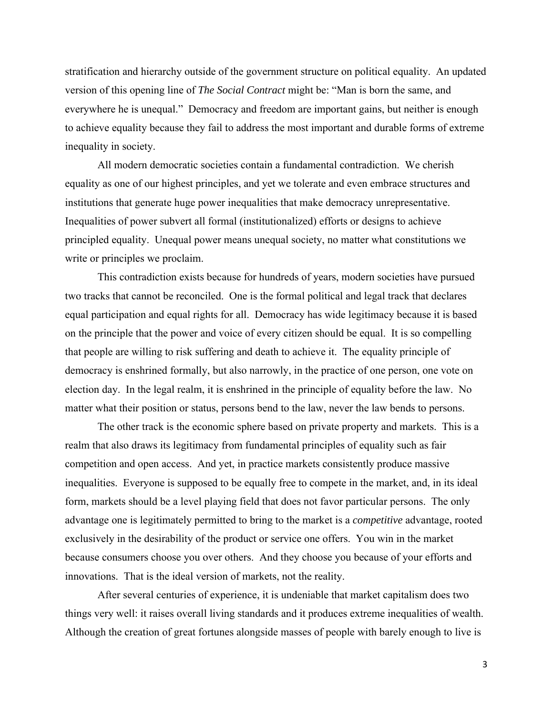stratification and hierarchy outside of the government structure on political equality. An updated version of this opening line of *The Social Contract* might be: "Man is born the same, and everywhere he is unequal." Democracy and freedom are important gains, but neither is enough to achieve equality because they fail to address the most important and durable forms of extreme inequality in society.

 All modern democratic societies contain a fundamental contradiction. We cherish equality as one of our highest principles, and yet we tolerate and even embrace structures and institutions that generate huge power inequalities that make democracy unrepresentative. Inequalities of power subvert all formal (institutionalized) efforts or designs to achieve principled equality. Unequal power means unequal society, no matter what constitutions we write or principles we proclaim.

 This contradiction exists because for hundreds of years, modern societies have pursued two tracks that cannot be reconciled. One is the formal political and legal track that declares equal participation and equal rights for all. Democracy has wide legitimacy because it is based on the principle that the power and voice of every citizen should be equal. It is so compelling that people are willing to risk suffering and death to achieve it. The equality principle of democracy is enshrined formally, but also narrowly, in the practice of one person, one vote on election day. In the legal realm, it is enshrined in the principle of equality before the law. No matter what their position or status, persons bend to the law, never the law bends to persons.

 The other track is the economic sphere based on private property and markets. This is a realm that also draws its legitimacy from fundamental principles of equality such as fair competition and open access. And yet, in practice markets consistently produce massive inequalities. Everyone is supposed to be equally free to compete in the market, and, in its ideal form, markets should be a level playing field that does not favor particular persons. The only advantage one is legitimately permitted to bring to the market is a *competitive* advantage, rooted exclusively in the desirability of the product or service one offers. You win in the market because consumers choose you over others. And they choose you because of your efforts and innovations. That is the ideal version of markets, not the reality.

 After several centuries of experience, it is undeniable that market capitalism does two things very well: it raises overall living standards and it produces extreme inequalities of wealth. Although the creation of great fortunes alongside masses of people with barely enough to live is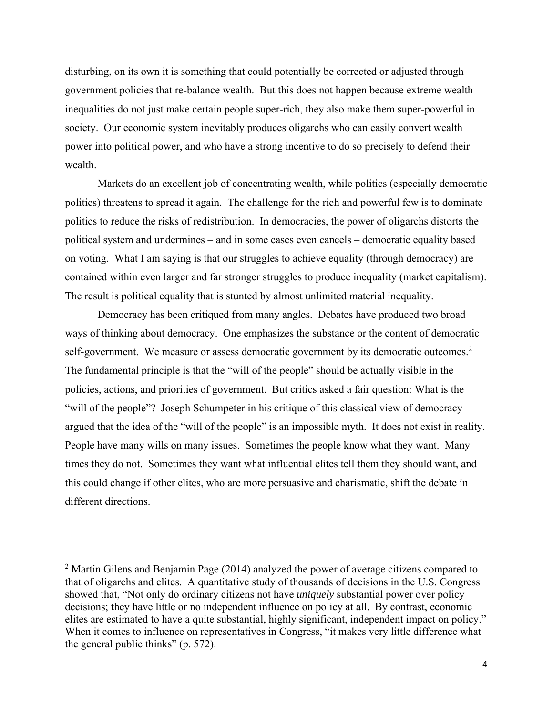disturbing, on its own it is something that could potentially be corrected or adjusted through government policies that re-balance wealth. But this does not happen because extreme wealth inequalities do not just make certain people super-rich, they also make them super-powerful in society. Our economic system inevitably produces oligarchs who can easily convert wealth power into political power, and who have a strong incentive to do so precisely to defend their wealth.

Markets do an excellent job of concentrating wealth, while politics (especially democratic politics) threatens to spread it again. The challenge for the rich and powerful few is to dominate politics to reduce the risks of redistribution. In democracies, the power of oligarchs distorts the political system and undermines – and in some cases even cancels – democratic equality based on voting. What I am saying is that our struggles to achieve equality (through democracy) are contained within even larger and far stronger struggles to produce inequality (market capitalism). The result is political equality that is stunted by almost unlimited material inequality.

 Democracy has been critiqued from many angles. Debates have produced two broad ways of thinking about democracy. One emphasizes the substance or the content of democratic self-government. We measure or assess democratic government by its democratic outcomes.<sup>2</sup> The fundamental principle is that the "will of the people" should be actually visible in the policies, actions, and priorities of government. But critics asked a fair question: What is the "will of the people"? Joseph Schumpeter in his critique of this classical view of democracy argued that the idea of the "will of the people" is an impossible myth. It does not exist in reality. People have many wills on many issues. Sometimes the people know what they want. Many times they do not. Sometimes they want what influential elites tell them they should want, and this could change if other elites, who are more persuasive and charismatic, shift the debate in different directions.

 $2$  Martin Gilens and Benjamin Page (2014) analyzed the power of average citizens compared to that of oligarchs and elites. A quantitative study of thousands of decisions in the U.S. Congress showed that, "Not only do ordinary citizens not have *uniquely* substantial power over policy decisions; they have little or no independent influence on policy at all. By contrast, economic elites are estimated to have a quite substantial, highly significant, independent impact on policy." When it comes to influence on representatives in Congress, "it makes very little difference what the general public thinks" (p. 572).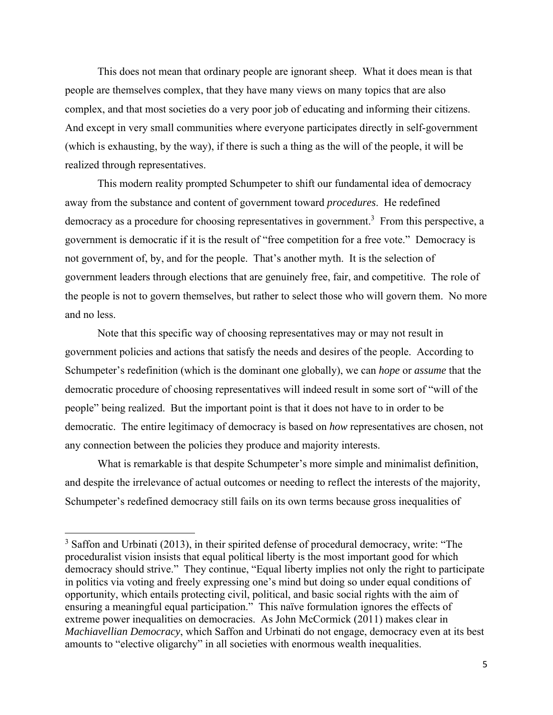This does not mean that ordinary people are ignorant sheep. What it does mean is that people are themselves complex, that they have many views on many topics that are also complex, and that most societies do a very poor job of educating and informing their citizens. And except in very small communities where everyone participates directly in self-government (which is exhausting, by the way), if there is such a thing as the will of the people, it will be realized through representatives.

 This modern reality prompted Schumpeter to shift our fundamental idea of democracy away from the substance and content of government toward *procedures*. He redefined democracy as a procedure for choosing representatives in government.<sup>3</sup> From this perspective, a government is democratic if it is the result of "free competition for a free vote." Democracy is not government of, by, and for the people. That's another myth. It is the selection of government leaders through elections that are genuinely free, fair, and competitive. The role of the people is not to govern themselves, but rather to select those who will govern them. No more and no less.

Note that this specific way of choosing representatives may or may not result in government policies and actions that satisfy the needs and desires of the people. According to Schumpeter's redefinition (which is the dominant one globally), we can *hope* or *assume* that the democratic procedure of choosing representatives will indeed result in some sort of "will of the people" being realized. But the important point is that it does not have to in order to be democratic. The entire legitimacy of democracy is based on *how* representatives are chosen, not any connection between the policies they produce and majority interests.

 What is remarkable is that despite Schumpeter's more simple and minimalist definition, and despite the irrelevance of actual outcomes or needing to reflect the interests of the majority, Schumpeter's redefined democracy still fails on its own terms because gross inequalities of

 $3$  Saffon and Urbinati (2013), in their spirited defense of procedural democracy, write: "The proceduralist vision insists that equal political liberty is the most important good for which democracy should strive." They continue, "Equal liberty implies not only the right to participate in politics via voting and freely expressing one's mind but doing so under equal conditions of opportunity, which entails protecting civil, political, and basic social rights with the aim of ensuring a meaningful equal participation." This naïve formulation ignores the effects of extreme power inequalities on democracies. As John McCormick (2011) makes clear in *Machiavellian Democracy*, which Saffon and Urbinati do not engage, democracy even at its best amounts to "elective oligarchy" in all societies with enormous wealth inequalities.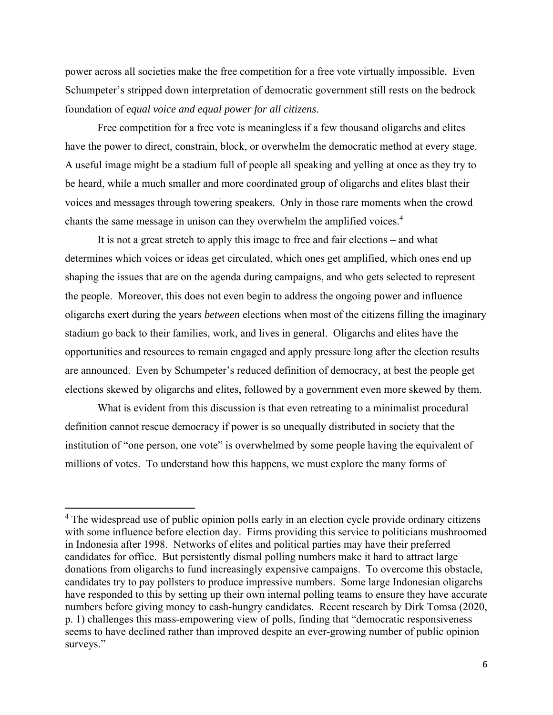power across all societies make the free competition for a free vote virtually impossible. Even Schumpeter's stripped down interpretation of democratic government still rests on the bedrock foundation of *equal voice and equal power for all citizens*.

Free competition for a free vote is meaningless if a few thousand oligarchs and elites have the power to direct, constrain, block, or overwhelm the democratic method at every stage. A useful image might be a stadium full of people all speaking and yelling at once as they try to be heard, while a much smaller and more coordinated group of oligarchs and elites blast their voices and messages through towering speakers. Only in those rare moments when the crowd chants the same message in unison can they overwhelm the amplified voices.<sup>4</sup>

 It is not a great stretch to apply this image to free and fair elections – and what determines which voices or ideas get circulated, which ones get amplified, which ones end up shaping the issues that are on the agenda during campaigns, and who gets selected to represent the people. Moreover, this does not even begin to address the ongoing power and influence oligarchs exert during the years *between* elections when most of the citizens filling the imaginary stadium go back to their families, work, and lives in general. Oligarchs and elites have the opportunities and resources to remain engaged and apply pressure long after the election results are announced. Even by Schumpeter's reduced definition of democracy, at best the people get elections skewed by oligarchs and elites, followed by a government even more skewed by them.

 What is evident from this discussion is that even retreating to a minimalist procedural definition cannot rescue democracy if power is so unequally distributed in society that the institution of "one person, one vote" is overwhelmed by some people having the equivalent of millions of votes. To understand how this happens, we must explore the many forms of

<sup>&</sup>lt;sup>4</sup> The widespread use of public opinion polls early in an election cycle provide ordinary citizens with some influence before election day. Firms providing this service to politicians mushroomed in Indonesia after 1998. Networks of elites and political parties may have their preferred candidates for office. But persistently dismal polling numbers make it hard to attract large donations from oligarchs to fund increasingly expensive campaigns. To overcome this obstacle, candidates try to pay pollsters to produce impressive numbers. Some large Indonesian oligarchs have responded to this by setting up their own internal polling teams to ensure they have accurate numbers before giving money to cash-hungry candidates. Recent research by Dirk Tomsa (2020, p. 1) challenges this mass-empowering view of polls, finding that "democratic responsiveness seems to have declined rather than improved despite an ever-growing number of public opinion surveys."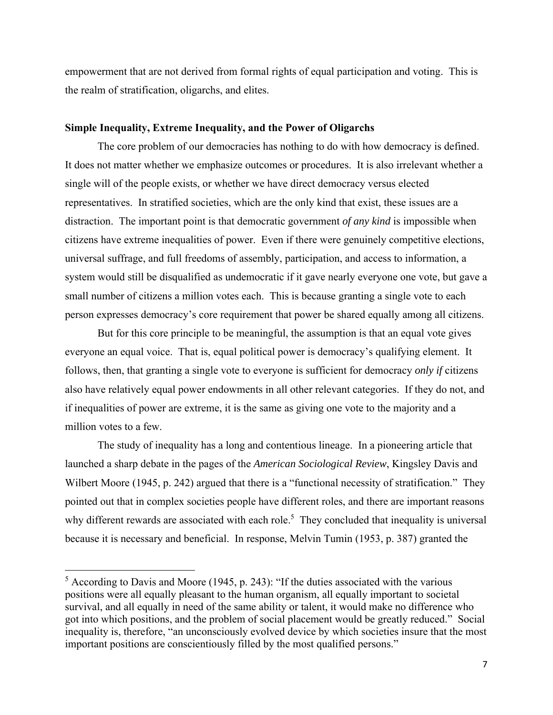empowerment that are not derived from formal rights of equal participation and voting. This is the realm of stratification, oligarchs, and elites.

#### **Simple Inequality, Extreme Inequality, and the Power of Oligarchs**

 The core problem of our democracies has nothing to do with how democracy is defined. It does not matter whether we emphasize outcomes or procedures. It is also irrelevant whether a single will of the people exists, or whether we have direct democracy versus elected representatives. In stratified societies, which are the only kind that exist, these issues are a distraction. The important point is that democratic government *of any kind* is impossible when citizens have extreme inequalities of power. Even if there were genuinely competitive elections, universal suffrage, and full freedoms of assembly, participation, and access to information, a system would still be disqualified as undemocratic if it gave nearly everyone one vote, but gave a small number of citizens a million votes each. This is because granting a single vote to each person expresses democracy's core requirement that power be shared equally among all citizens.

But for this core principle to be meaningful, the assumption is that an equal vote gives everyone an equal voice. That is, equal political power is democracy's qualifying element. It follows, then, that granting a single vote to everyone is sufficient for democracy *only if* citizens also have relatively equal power endowments in all other relevant categories. If they do not, and if inequalities of power are extreme, it is the same as giving one vote to the majority and a million votes to a few.

 The study of inequality has a long and contentious lineage. In a pioneering article that launched a sharp debate in the pages of the *American Sociological Review*, Kingsley Davis and Wilbert Moore (1945, p. 242) argued that there is a "functional necessity of stratification." They pointed out that in complex societies people have different roles, and there are important reasons why different rewards are associated with each role.<sup>5</sup> They concluded that inequality is universal because it is necessary and beneficial. In response, Melvin Tumin (1953, p. 387) granted the

 $<sup>5</sup>$  According to Davis and Moore (1945, p. 243): "If the duties associated with the various</sup> positions were all equally pleasant to the human organism, all equally important to societal survival, and all equally in need of the same ability or talent, it would make no difference who got into which positions, and the problem of social placement would be greatly reduced." Social inequality is, therefore, "an unconsciously evolved device by which societies insure that the most important positions are conscientiously filled by the most qualified persons."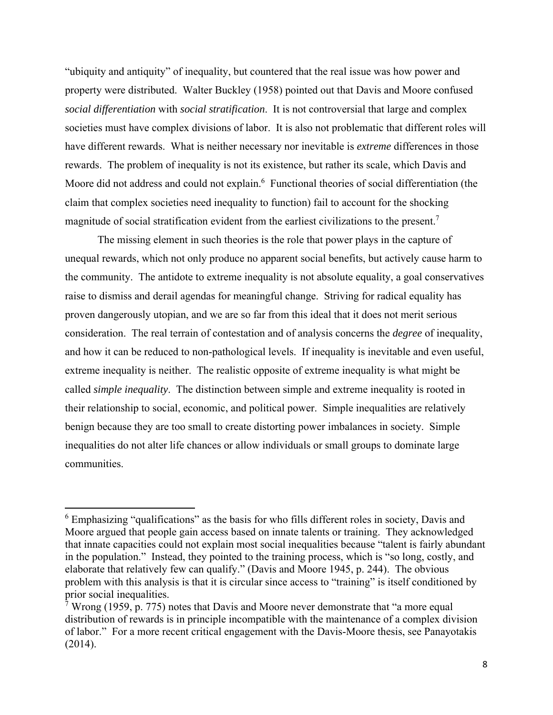"ubiquity and antiquity" of inequality, but countered that the real issue was how power and property were distributed. Walter Buckley (1958) pointed out that Davis and Moore confused *social differentiation* with *social stratification*. It is not controversial that large and complex societies must have complex divisions of labor. It is also not problematic that different roles will have different rewards. What is neither necessary nor inevitable is *extreme* differences in those rewards. The problem of inequality is not its existence, but rather its scale, which Davis and Moore did not address and could not explain.<sup>6</sup> Functional theories of social differentiation (the claim that complex societies need inequality to function) fail to account for the shocking magnitude of social stratification evident from the earliest civilizations to the present.7

The missing element in such theories is the role that power plays in the capture of unequal rewards, which not only produce no apparent social benefits, but actively cause harm to the community. The antidote to extreme inequality is not absolute equality, a goal conservatives raise to dismiss and derail agendas for meaningful change. Striving for radical equality has proven dangerously utopian, and we are so far from this ideal that it does not merit serious consideration. The real terrain of contestation and of analysis concerns the *degree* of inequality, and how it can be reduced to non-pathological levels. If inequality is inevitable and even useful, extreme inequality is neither. The realistic opposite of extreme inequality is what might be called *simple inequality*. The distinction between simple and extreme inequality is rooted in their relationship to social, economic, and political power. Simple inequalities are relatively benign because they are too small to create distorting power imbalances in society. Simple inequalities do not alter life chances or allow individuals or small groups to dominate large communities.

<sup>&</sup>lt;sup>6</sup> Emphasizing "qualifications" as the basis for who fills different roles in society, Davis and Moore argued that people gain access based on innate talents or training. They acknowledged that innate capacities could not explain most social inequalities because "talent is fairly abundant in the population." Instead, they pointed to the training process, which is "so long, costly, and elaborate that relatively few can qualify." (Davis and Moore 1945, p. 244). The obvious problem with this analysis is that it is circular since access to "training" is itself conditioned by prior social inequalities.

<sup>&</sup>lt;sup>7</sup> Wrong (1959, p. 775) notes that Davis and Moore never demonstrate that "a more equal distribution of rewards is in principle incompatible with the maintenance of a complex division of labor." For a more recent critical engagement with the Davis-Moore thesis, see Panayotakis (2014).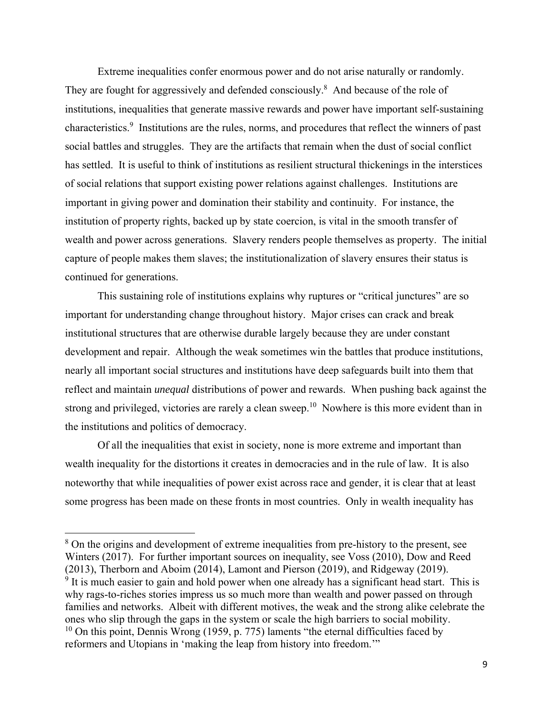Extreme inequalities confer enormous power and do not arise naturally or randomly. They are fought for aggressively and defended consciously.<sup>8</sup> And because of the role of institutions, inequalities that generate massive rewards and power have important self-sustaining characteristics.<sup>9</sup> Institutions are the rules, norms, and procedures that reflect the winners of past social battles and struggles. They are the artifacts that remain when the dust of social conflict has settled. It is useful to think of institutions as resilient structural thickenings in the interstices of social relations that support existing power relations against challenges. Institutions are important in giving power and domination their stability and continuity. For instance, the institution of property rights, backed up by state coercion, is vital in the smooth transfer of wealth and power across generations. Slavery renders people themselves as property. The initial capture of people makes them slaves; the institutionalization of slavery ensures their status is continued for generations.

This sustaining role of institutions explains why ruptures or "critical junctures" are so important for understanding change throughout history. Major crises can crack and break institutional structures that are otherwise durable largely because they are under constant development and repair. Although the weak sometimes win the battles that produce institutions, nearly all important social structures and institutions have deep safeguards built into them that reflect and maintain *unequal* distributions of power and rewards. When pushing back against the strong and privileged, victories are rarely a clean sweep.<sup>10</sup> Nowhere is this more evident than in the institutions and politics of democracy.

 Of all the inequalities that exist in society, none is more extreme and important than wealth inequality for the distortions it creates in democracies and in the rule of law. It is also noteworthy that while inequalities of power exist across race and gender, it is clear that at least some progress has been made on these fronts in most countries. Only in wealth inequality has

<sup>&</sup>lt;sup>8</sup> On the origins and development of extreme inequalities from pre-history to the present, see Winters (2017). For further important sources on inequality, see Voss (2010), Dow and Reed (2013), Therborn and Aboim (2014), Lamont and Pierson (2019), and Ridgeway (2019).

 $9$  It is much easier to gain and hold power when one already has a significant head start. This is why rags-to-riches stories impress us so much more than wealth and power passed on through families and networks. Albeit with different motives, the weak and the strong alike celebrate the ones who slip through the gaps in the system or scale the high barriers to social mobility.  $10$  On this point, Dennis Wrong (1959, p. 775) laments "the eternal difficulties faced by reformers and Utopians in 'making the leap from history into freedom.'"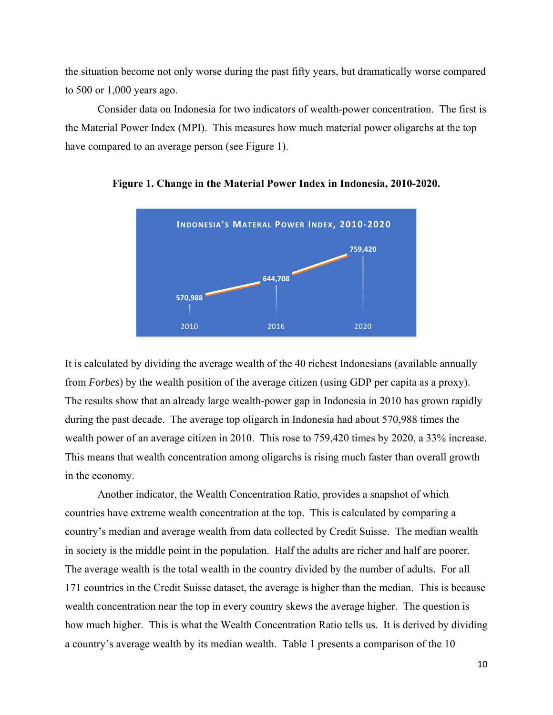the situation become not only worse during the past fifty years, but dramatically worse compared to 500 or 1,000 years ago.

Consider data on Indonesia for two indicators of wealth-power concentration. The first is the Material Power Index (MPI). This measures how much material power oligarchs at the top have compared to an average person (see Figure 1).



**Figure 1. Change in the Material Power Index in Indonesia, 2010-2020.** 

It is calculated by dividing the average wealth of the 40 richest Indonesians (available annually from *Forbes*) by the wealth position of the average citizen (using GDP per capita as a proxy). The results show that an already large wealth-power gap in Indonesia in 2010 has grown rapidly during the past decade. The average top oligarch in Indonesia had about 570,988 times the wealth power of an average citizen in 2010. This rose to 759,420 times by 2020, a 33% increase. This means that wealth concentration among oligarchs is rising much faster than overall growth in the economy.

 Another indicator, the Wealth Concentration Ratio, provides a snapshot of which countries have extreme wealth concentration at the top. This is calculated by comparing a country's median and average wealth from data collected by Credit Suisse. The median wealth in society is the middle point in the population. Half the adults are richer and half are poorer. The average wealth is the total wealth in the country divided by the number of adults. For all 171 countries in the Credit Suisse dataset, the average is higher than the median. This is because wealth concentration near the top in every country skews the average higher. The question is how much higher. This is what the Wealth Concentration Ratio tells us. It is derived by dividing a country's average wealth by its median wealth. Table 1 presents a comparison of the 10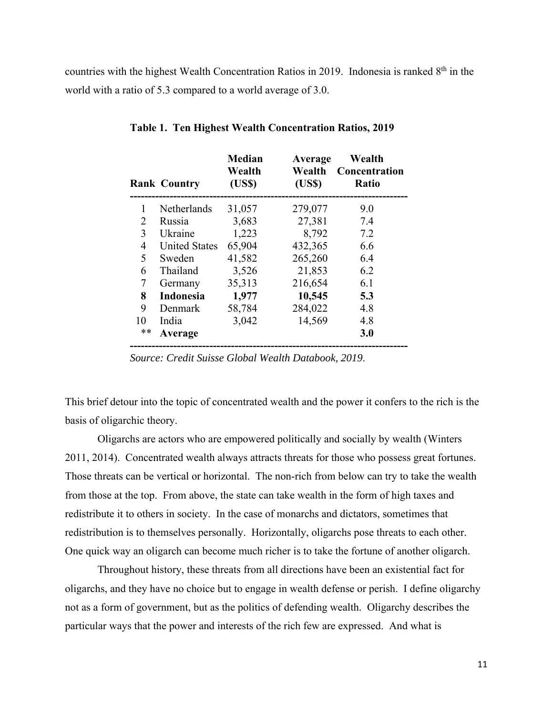countries with the highest Wealth Concentration Ratios in 2019. Indonesia is ranked 8<sup>th</sup> in the world with a ratio of 5.3 compared to a world average of 3.0.

|    | <b>Rank Country</b>  | <b>Median</b><br>Wealth<br>(US\$) | Average<br>Wealth<br>(USS) | Wealth<br>Concentration<br><b>Ratio</b> |
|----|----------------------|-----------------------------------|----------------------------|-----------------------------------------|
| 1  | Netherlands          | 31,057                            | 279,077                    | 9.0                                     |
| 2  | Russia               | 3,683                             | 27,381                     | 7.4                                     |
| 3  | Ukraine              | 1,223                             | 8,792                      | 7.2                                     |
| 4  | <b>United States</b> | 65,904                            | 432,365                    | 6.6                                     |
| 5  | Sweden               | 41,582                            | 265,260                    | 6.4                                     |
| 6  | Thailand             | 3,526                             | 21,853                     | 6.2                                     |
| 7  | Germany              | 35,313                            | 216,654                    | 6.1                                     |
| 8  | <b>Indonesia</b>     | 1,977                             | 10,545                     | 5.3                                     |
| 9  | Denmark              | 58,784                            | 284,022                    | 4.8                                     |
| 10 | India                | 3,042                             | 14,569                     | 4.8                                     |
| ** | Average              |                                   |                            | 3.0                                     |
|    |                      |                                   |                            |                                         |

**Table 1. Ten Highest Wealth Concentration Ratios, 2019** 

*Source: Credit Suisse Global Wealth Databook, 2019*.

This brief detour into the topic of concentrated wealth and the power it confers to the rich is the basis of oligarchic theory.

Oligarchs are actors who are empowered politically and socially by wealth (Winters 2011, 2014). Concentrated wealth always attracts threats for those who possess great fortunes. Those threats can be vertical or horizontal. The non-rich from below can try to take the wealth from those at the top. From above, the state can take wealth in the form of high taxes and redistribute it to others in society. In the case of monarchs and dictators, sometimes that redistribution is to themselves personally. Horizontally, oligarchs pose threats to each other. One quick way an oligarch can become much richer is to take the fortune of another oligarch.

 Throughout history, these threats from all directions have been an existential fact for oligarchs, and they have no choice but to engage in wealth defense or perish. I define oligarchy not as a form of government, but as the politics of defending wealth. Oligarchy describes the particular ways that the power and interests of the rich few are expressed. And what is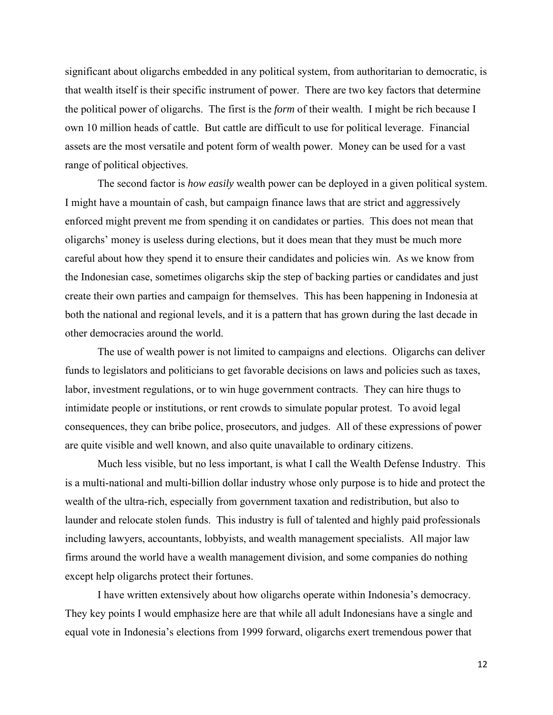significant about oligarchs embedded in any political system, from authoritarian to democratic, is that wealth itself is their specific instrument of power. There are two key factors that determine the political power of oligarchs. The first is the *form* of their wealth. I might be rich because I own 10 million heads of cattle. But cattle are difficult to use for political leverage. Financial assets are the most versatile and potent form of wealth power. Money can be used for a vast range of political objectives.

The second factor is *how easily* wealth power can be deployed in a given political system. I might have a mountain of cash, but campaign finance laws that are strict and aggressively enforced might prevent me from spending it on candidates or parties. This does not mean that oligarchs' money is useless during elections, but it does mean that they must be much more careful about how they spend it to ensure their candidates and policies win. As we know from the Indonesian case, sometimes oligarchs skip the step of backing parties or candidates and just create their own parties and campaign for themselves. This has been happening in Indonesia at both the national and regional levels, and it is a pattern that has grown during the last decade in other democracies around the world.

 The use of wealth power is not limited to campaigns and elections. Oligarchs can deliver funds to legislators and politicians to get favorable decisions on laws and policies such as taxes, labor, investment regulations, or to win huge government contracts. They can hire thugs to intimidate people or institutions, or rent crowds to simulate popular protest. To avoid legal consequences, they can bribe police, prosecutors, and judges. All of these expressions of power are quite visible and well known, and also quite unavailable to ordinary citizens.

Much less visible, but no less important, is what I call the Wealth Defense Industry. This is a multi-national and multi-billion dollar industry whose only purpose is to hide and protect the wealth of the ultra-rich, especially from government taxation and redistribution, but also to launder and relocate stolen funds. This industry is full of talented and highly paid professionals including lawyers, accountants, lobbyists, and wealth management specialists. All major law firms around the world have a wealth management division, and some companies do nothing except help oligarchs protect their fortunes.

 I have written extensively about how oligarchs operate within Indonesia's democracy. They key points I would emphasize here are that while all adult Indonesians have a single and equal vote in Indonesia's elections from 1999 forward, oligarchs exert tremendous power that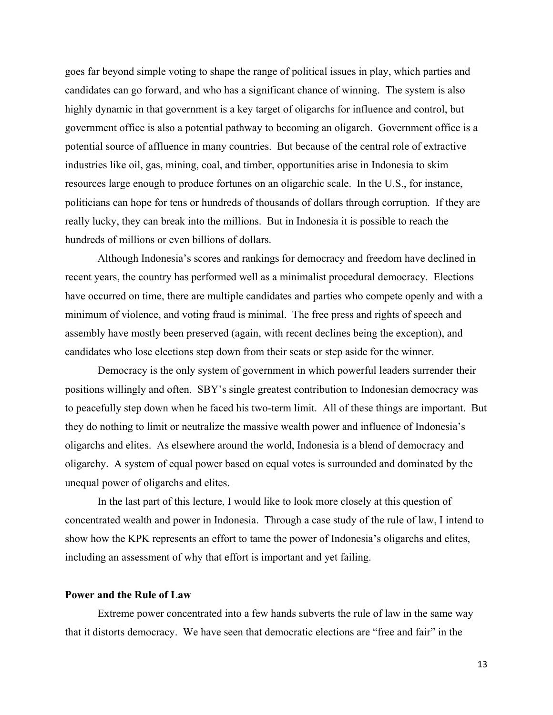goes far beyond simple voting to shape the range of political issues in play, which parties and candidates can go forward, and who has a significant chance of winning. The system is also highly dynamic in that government is a key target of oligarchs for influence and control, but government office is also a potential pathway to becoming an oligarch. Government office is a potential source of affluence in many countries. But because of the central role of extractive industries like oil, gas, mining, coal, and timber, opportunities arise in Indonesia to skim resources large enough to produce fortunes on an oligarchic scale. In the U.S., for instance, politicians can hope for tens or hundreds of thousands of dollars through corruption. If they are really lucky, they can break into the millions. But in Indonesia it is possible to reach the hundreds of millions or even billions of dollars.

 Although Indonesia's scores and rankings for democracy and freedom have declined in recent years, the country has performed well as a minimalist procedural democracy. Elections have occurred on time, there are multiple candidates and parties who compete openly and with a minimum of violence, and voting fraud is minimal. The free press and rights of speech and assembly have mostly been preserved (again, with recent declines being the exception), and candidates who lose elections step down from their seats or step aside for the winner.

Democracy is the only system of government in which powerful leaders surrender their positions willingly and often. SBY's single greatest contribution to Indonesian democracy was to peacefully step down when he faced his two-term limit. All of these things are important. But they do nothing to limit or neutralize the massive wealth power and influence of Indonesia's oligarchs and elites. As elsewhere around the world, Indonesia is a blend of democracy and oligarchy. A system of equal power based on equal votes is surrounded and dominated by the unequal power of oligarchs and elites.

 In the last part of this lecture, I would like to look more closely at this question of concentrated wealth and power in Indonesia. Through a case study of the rule of law, I intend to show how the KPK represents an effort to tame the power of Indonesia's oligarchs and elites, including an assessment of why that effort is important and yet failing.

#### **Power and the Rule of Law**

 Extreme power concentrated into a few hands subverts the rule of law in the same way that it distorts democracy. We have seen that democratic elections are "free and fair" in the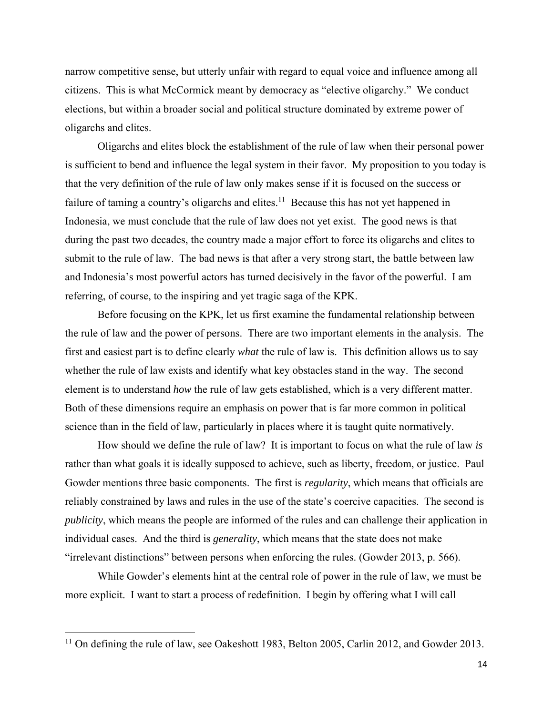narrow competitive sense, but utterly unfair with regard to equal voice and influence among all citizens. This is what McCormick meant by democracy as "elective oligarchy." We conduct elections, but within a broader social and political structure dominated by extreme power of oligarchs and elites.

Oligarchs and elites block the establishment of the rule of law when their personal power is sufficient to bend and influence the legal system in their favor. My proposition to you today is that the very definition of the rule of law only makes sense if it is focused on the success or failure of taming a country's oligarchs and elites.<sup>11</sup> Because this has not yet happened in Indonesia, we must conclude that the rule of law does not yet exist. The good news is that during the past two decades, the country made a major effort to force its oligarchs and elites to submit to the rule of law. The bad news is that after a very strong start, the battle between law and Indonesia's most powerful actors has turned decisively in the favor of the powerful. I am referring, of course, to the inspiring and yet tragic saga of the KPK.

 Before focusing on the KPK, let us first examine the fundamental relationship between the rule of law and the power of persons. There are two important elements in the analysis. The first and easiest part is to define clearly *what* the rule of law is. This definition allows us to say whether the rule of law exists and identify what key obstacles stand in the way. The second element is to understand *how* the rule of law gets established, which is a very different matter. Both of these dimensions require an emphasis on power that is far more common in political science than in the field of law, particularly in places where it is taught quite normatively.

 How should we define the rule of law? It is important to focus on what the rule of law *is* rather than what goals it is ideally supposed to achieve, such as liberty, freedom, or justice. Paul Gowder mentions three basic components. The first is *regularity*, which means that officials are reliably constrained by laws and rules in the use of the state's coercive capacities. The second is *publicity*, which means the people are informed of the rules and can challenge their application in individual cases. And the third is *generality*, which means that the state does not make "irrelevant distinctions" between persons when enforcing the rules. (Gowder 2013, p. 566).

 While Gowder's elements hint at the central role of power in the rule of law, we must be more explicit. I want to start a process of redefinition. I begin by offering what I will call

 $11$  On defining the rule of law, see Oakeshott 1983, Belton 2005, Carlin 2012, and Gowder 2013.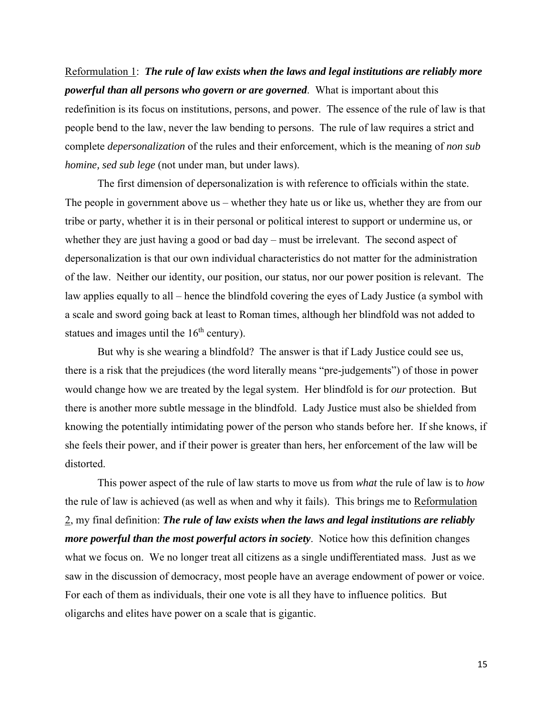Reformulation 1: *The rule of law exists when the laws and legal institutions are reliably more powerful than all persons who govern or are governed*. What is important about this redefinition is its focus on institutions, persons, and power. The essence of the rule of law is that people bend to the law, never the law bending to persons. The rule of law requires a strict and complete *depersonalization* of the rules and their enforcement, which is the meaning of *non sub homine, sed sub lege* (not under man, but under laws).

 The first dimension of depersonalization is with reference to officials within the state. The people in government above us – whether they hate us or like us, whether they are from our tribe or party, whether it is in their personal or political interest to support or undermine us, or whether they are just having a good or bad day – must be irrelevant. The second aspect of depersonalization is that our own individual characteristics do not matter for the administration of the law. Neither our identity, our position, our status, nor our power position is relevant. The law applies equally to all – hence the blindfold covering the eyes of Lady Justice (a symbol with a scale and sword going back at least to Roman times, although her blindfold was not added to statues and images until the  $16<sup>th</sup>$  century).

 But why is she wearing a blindfold? The answer is that if Lady Justice could see us, there is a risk that the prejudices (the word literally means "pre-judgements") of those in power would change how we are treated by the legal system. Her blindfold is for *our* protection. But there is another more subtle message in the blindfold. Lady Justice must also be shielded from knowing the potentially intimidating power of the person who stands before her. If she knows, if she feels their power, and if their power is greater than hers, her enforcement of the law will be distorted.

 This power aspect of the rule of law starts to move us from *what* the rule of law is to *how* the rule of law is achieved (as well as when and why it fails). This brings me to Reformulation 2, my final definition: *The rule of law exists when the laws and legal institutions are reliably more powerful than the most powerful actors in society*. Notice how this definition changes what we focus on. We no longer treat all citizens as a single undifferentiated mass. Just as we saw in the discussion of democracy, most people have an average endowment of power or voice. For each of them as individuals, their one vote is all they have to influence politics. But oligarchs and elites have power on a scale that is gigantic.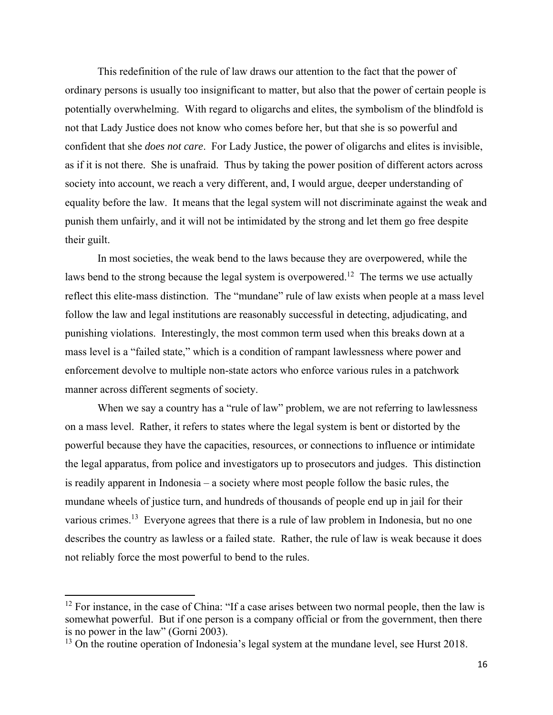This redefinition of the rule of law draws our attention to the fact that the power of ordinary persons is usually too insignificant to matter, but also that the power of certain people is potentially overwhelming. With regard to oligarchs and elites, the symbolism of the blindfold is not that Lady Justice does not know who comes before her, but that she is so powerful and confident that she *does not care*. For Lady Justice, the power of oligarchs and elites is invisible, as if it is not there. She is unafraid. Thus by taking the power position of different actors across society into account, we reach a very different, and, I would argue, deeper understanding of equality before the law. It means that the legal system will not discriminate against the weak and punish them unfairly, and it will not be intimidated by the strong and let them go free despite their guilt.

In most societies, the weak bend to the laws because they are overpowered, while the laws bend to the strong because the legal system is overpowered.<sup>12</sup> The terms we use actually reflect this elite-mass distinction. The "mundane" rule of law exists when people at a mass level follow the law and legal institutions are reasonably successful in detecting, adjudicating, and punishing violations. Interestingly, the most common term used when this breaks down at a mass level is a "failed state," which is a condition of rampant lawlessness where power and enforcement devolve to multiple non-state actors who enforce various rules in a patchwork manner across different segments of society.

When we say a country has a "rule of law" problem, we are not referring to lawlessness on a mass level. Rather, it refers to states where the legal system is bent or distorted by the powerful because they have the capacities, resources, or connections to influence or intimidate the legal apparatus, from police and investigators up to prosecutors and judges. This distinction is readily apparent in Indonesia – a society where most people follow the basic rules, the mundane wheels of justice turn, and hundreds of thousands of people end up in jail for their various crimes.<sup>13</sup> Everyone agrees that there is a rule of law problem in Indonesia, but no one describes the country as lawless or a failed state. Rather, the rule of law is weak because it does not reliably force the most powerful to bend to the rules.

 $12$  For instance, in the case of China: "If a case arises between two normal people, then the law is somewhat powerful. But if one person is a company official or from the government, then there is no power in the law" (Gorni 2003).

 $13$  On the routine operation of Indonesia's legal system at the mundane level, see Hurst 2018.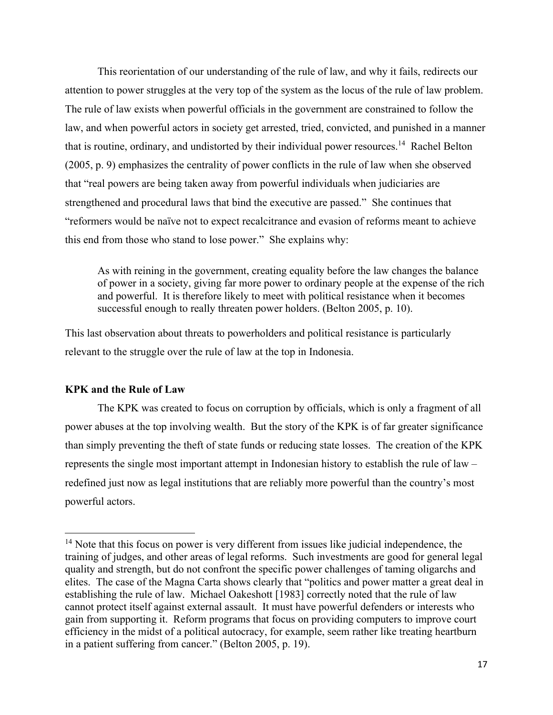This reorientation of our understanding of the rule of law, and why it fails, redirects our attention to power struggles at the very top of the system as the locus of the rule of law problem. The rule of law exists when powerful officials in the government are constrained to follow the law, and when powerful actors in society get arrested, tried, convicted, and punished in a manner that is routine, ordinary, and undistorted by their individual power resources.<sup>14</sup> Rachel Belton (2005, p. 9) emphasizes the centrality of power conflicts in the rule of law when she observed that "real powers are being taken away from powerful individuals when judiciaries are strengthened and procedural laws that bind the executive are passed." She continues that "reformers would be naïve not to expect recalcitrance and evasion of reforms meant to achieve this end from those who stand to lose power." She explains why:

As with reining in the government, creating equality before the law changes the balance of power in a society, giving far more power to ordinary people at the expense of the rich and powerful. It is therefore likely to meet with political resistance when it becomes successful enough to really threaten power holders. (Belton 2005, p. 10).

This last observation about threats to powerholders and political resistance is particularly relevant to the struggle over the rule of law at the top in Indonesia.

### **KPK and the Rule of Law**

The KPK was created to focus on corruption by officials, which is only a fragment of all power abuses at the top involving wealth. But the story of the KPK is of far greater significance than simply preventing the theft of state funds or reducing state losses. The creation of the KPK represents the single most important attempt in Indonesian history to establish the rule of law – redefined just now as legal institutions that are reliably more powerful than the country's most powerful actors.

<sup>&</sup>lt;sup>14</sup> Note that this focus on power is very different from issues like judicial independence, the training of judges, and other areas of legal reforms. Such investments are good for general legal quality and strength, but do not confront the specific power challenges of taming oligarchs and elites. The case of the Magna Carta shows clearly that "politics and power matter a great deal in establishing the rule of law. Michael Oakeshott [1983] correctly noted that the rule of law cannot protect itself against external assault. It must have powerful defenders or interests who gain from supporting it. Reform programs that focus on providing computers to improve court efficiency in the midst of a political autocracy, for example, seem rather like treating heartburn in a patient suffering from cancer." (Belton 2005, p. 19).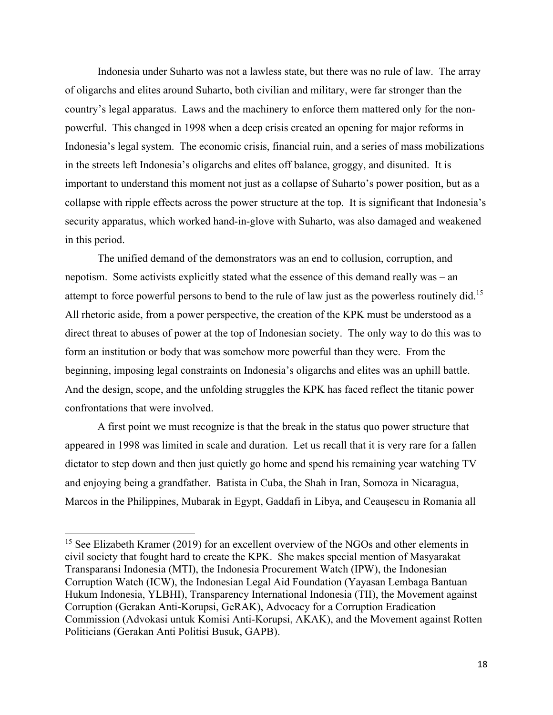Indonesia under Suharto was not a lawless state, but there was no rule of law. The array of oligarchs and elites around Suharto, both civilian and military, were far stronger than the country's legal apparatus. Laws and the machinery to enforce them mattered only for the nonpowerful. This changed in 1998 when a deep crisis created an opening for major reforms in Indonesia's legal system. The economic crisis, financial ruin, and a series of mass mobilizations in the streets left Indonesia's oligarchs and elites off balance, groggy, and disunited. It is important to understand this moment not just as a collapse of Suharto's power position, but as a collapse with ripple effects across the power structure at the top. It is significant that Indonesia's security apparatus, which worked hand-in-glove with Suharto, was also damaged and weakened in this period.

The unified demand of the demonstrators was an end to collusion, corruption, and nepotism. Some activists explicitly stated what the essence of this demand really was – an attempt to force powerful persons to bend to the rule of law just as the powerless routinely did.<sup>15</sup> All rhetoric aside, from a power perspective, the creation of the KPK must be understood as a direct threat to abuses of power at the top of Indonesian society. The only way to do this was to form an institution or body that was somehow more powerful than they were. From the beginning, imposing legal constraints on Indonesia's oligarchs and elites was an uphill battle. And the design, scope, and the unfolding struggles the KPK has faced reflect the titanic power confrontations that were involved.

 A first point we must recognize is that the break in the status quo power structure that appeared in 1998 was limited in scale and duration. Let us recall that it is very rare for a fallen dictator to step down and then just quietly go home and spend his remaining year watching TV and enjoying being a grandfather. Batista in Cuba, the Shah in Iran, Somoza in Nicaragua, Marcos in the Philippines, Mubarak in Egypt, Gaddafi in Libya, and Ceaușescu in Romania all

<sup>&</sup>lt;sup>15</sup> See Elizabeth Kramer (2019) for an excellent overview of the NGOs and other elements in civil society that fought hard to create the KPK. She makes special mention of Masyarakat Transparansi Indonesia (MTI), the Indonesia Procurement Watch (IPW), the Indonesian Corruption Watch (ICW), the Indonesian Legal Aid Foundation (Yayasan Lembaga Bantuan Hukum Indonesia, YLBHI), Transparency International Indonesia (TII), the Movement against Corruption (Gerakan Anti-Korupsi, GeRAK), Advocacy for a Corruption Eradication Commission (Advokasi untuk Komisi Anti-Korupsi, AKAK), and the Movement against Rotten Politicians (Gerakan Anti Politisi Busuk, GAPB).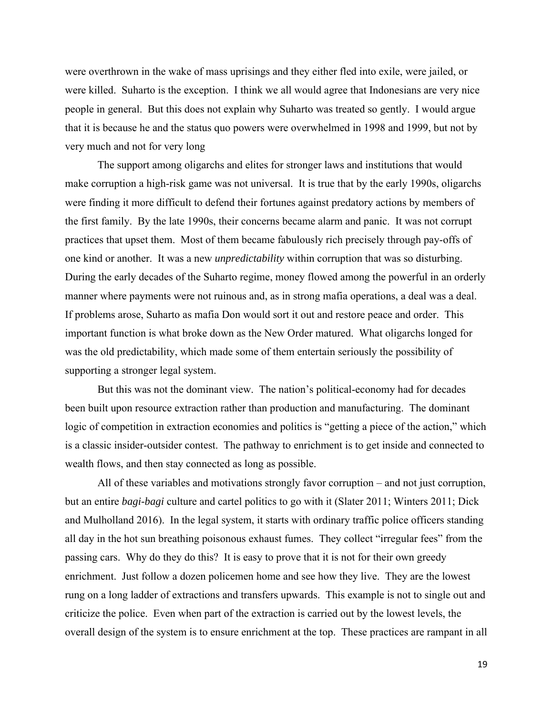were overthrown in the wake of mass uprisings and they either fled into exile, were jailed, or were killed. Suharto is the exception. I think we all would agree that Indonesians are very nice people in general. But this does not explain why Suharto was treated so gently. I would argue that it is because he and the status quo powers were overwhelmed in 1998 and 1999, but not by very much and not for very long

The support among oligarchs and elites for stronger laws and institutions that would make corruption a high-risk game was not universal. It is true that by the early 1990s, oligarchs were finding it more difficult to defend their fortunes against predatory actions by members of the first family. By the late 1990s, their concerns became alarm and panic. It was not corrupt practices that upset them. Most of them became fabulously rich precisely through pay-offs of one kind or another. It was a new *unpredictability* within corruption that was so disturbing. During the early decades of the Suharto regime, money flowed among the powerful in an orderly manner where payments were not ruinous and, as in strong mafia operations, a deal was a deal. If problems arose, Suharto as mafia Don would sort it out and restore peace and order. This important function is what broke down as the New Order matured. What oligarchs longed for was the old predictability, which made some of them entertain seriously the possibility of supporting a stronger legal system.

But this was not the dominant view. The nation's political-economy had for decades been built upon resource extraction rather than production and manufacturing. The dominant logic of competition in extraction economies and politics is "getting a piece of the action," which is a classic insider-outsider contest. The pathway to enrichment is to get inside and connected to wealth flows, and then stay connected as long as possible.

 All of these variables and motivations strongly favor corruption – and not just corruption, but an entire *bagi-bagi* culture and cartel politics to go with it (Slater 2011; Winters 2011; Dick and Mulholland 2016). In the legal system, it starts with ordinary traffic police officers standing all day in the hot sun breathing poisonous exhaust fumes. They collect "irregular fees" from the passing cars. Why do they do this? It is easy to prove that it is not for their own greedy enrichment. Just follow a dozen policemen home and see how they live. They are the lowest rung on a long ladder of extractions and transfers upwards. This example is not to single out and criticize the police. Even when part of the extraction is carried out by the lowest levels, the overall design of the system is to ensure enrichment at the top. These practices are rampant in all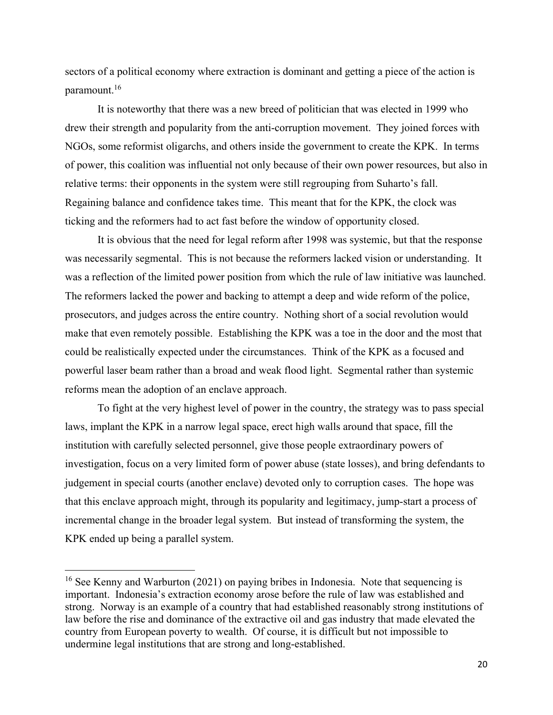sectors of a political economy where extraction is dominant and getting a piece of the action is paramount.16

 It is noteworthy that there was a new breed of politician that was elected in 1999 who drew their strength and popularity from the anti-corruption movement. They joined forces with NGOs, some reformist oligarchs, and others inside the government to create the KPK. In terms of power, this coalition was influential not only because of their own power resources, but also in relative terms: their opponents in the system were still regrouping from Suharto's fall. Regaining balance and confidence takes time. This meant that for the KPK, the clock was ticking and the reformers had to act fast before the window of opportunity closed.

 It is obvious that the need for legal reform after 1998 was systemic, but that the response was necessarily segmental. This is not because the reformers lacked vision or understanding. It was a reflection of the limited power position from which the rule of law initiative was launched. The reformers lacked the power and backing to attempt a deep and wide reform of the police, prosecutors, and judges across the entire country. Nothing short of a social revolution would make that even remotely possible. Establishing the KPK was a toe in the door and the most that could be realistically expected under the circumstances. Think of the KPK as a focused and powerful laser beam rather than a broad and weak flood light. Segmental rather than systemic reforms mean the adoption of an enclave approach.

To fight at the very highest level of power in the country, the strategy was to pass special laws, implant the KPK in a narrow legal space, erect high walls around that space, fill the institution with carefully selected personnel, give those people extraordinary powers of investigation, focus on a very limited form of power abuse (state losses), and bring defendants to judgement in special courts (another enclave) devoted only to corruption cases. The hope was that this enclave approach might, through its popularity and legitimacy, jump-start a process of incremental change in the broader legal system. But instead of transforming the system, the KPK ended up being a parallel system.

<sup>&</sup>lt;sup>16</sup> See Kenny and Warburton (2021) on paying bribes in Indonesia. Note that sequencing is important. Indonesia's extraction economy arose before the rule of law was established and strong. Norway is an example of a country that had established reasonably strong institutions of law before the rise and dominance of the extractive oil and gas industry that made elevated the country from European poverty to wealth. Of course, it is difficult but not impossible to undermine legal institutions that are strong and long-established.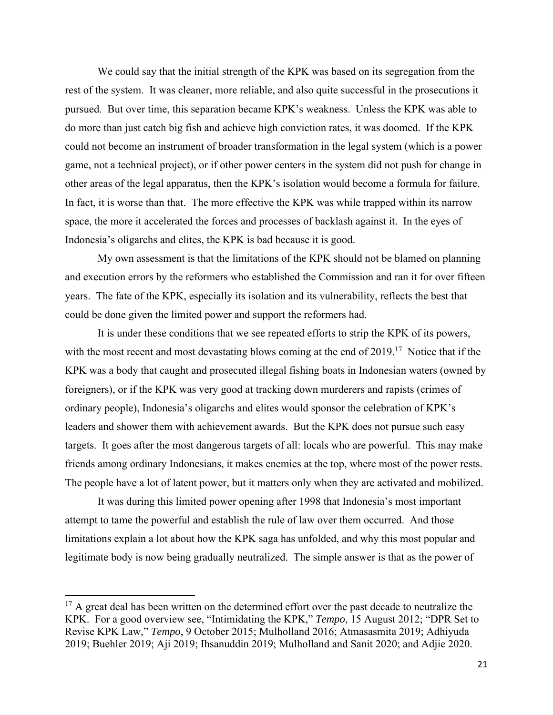We could say that the initial strength of the KPK was based on its segregation from the rest of the system. It was cleaner, more reliable, and also quite successful in the prosecutions it pursued. But over time, this separation became KPK's weakness. Unless the KPK was able to do more than just catch big fish and achieve high conviction rates, it was doomed. If the KPK could not become an instrument of broader transformation in the legal system (which is a power game, not a technical project), or if other power centers in the system did not push for change in other areas of the legal apparatus, then the KPK's isolation would become a formula for failure. In fact, it is worse than that. The more effective the KPK was while trapped within its narrow space, the more it accelerated the forces and processes of backlash against it. In the eyes of Indonesia's oligarchs and elites, the KPK is bad because it is good.

My own assessment is that the limitations of the KPK should not be blamed on planning and execution errors by the reformers who established the Commission and ran it for over fifteen years. The fate of the KPK, especially its isolation and its vulnerability, reflects the best that could be done given the limited power and support the reformers had.

 It is under these conditions that we see repeated efforts to strip the KPK of its powers, with the most recent and most devastating blows coming at the end of 2019.<sup>17</sup> Notice that if the KPK was a body that caught and prosecuted illegal fishing boats in Indonesian waters (owned by foreigners), or if the KPK was very good at tracking down murderers and rapists (crimes of ordinary people), Indonesia's oligarchs and elites would sponsor the celebration of KPK's leaders and shower them with achievement awards. But the KPK does not pursue such easy targets. It goes after the most dangerous targets of all: locals who are powerful. This may make friends among ordinary Indonesians, it makes enemies at the top, where most of the power rests. The people have a lot of latent power, but it matters only when they are activated and mobilized.

 It was during this limited power opening after 1998 that Indonesia's most important attempt to tame the powerful and establish the rule of law over them occurred. And those limitations explain a lot about how the KPK saga has unfolded, and why this most popular and legitimate body is now being gradually neutralized. The simple answer is that as the power of

 $17$  A great deal has been written on the determined effort over the past decade to neutralize the KPK. For a good overview see, "Intimidating the KPK," *Tempo*, 15 August 2012; "DPR Set to Revise KPK Law," *Tempo*, 9 October 2015; Mulholland 2016; Atmasasmita 2019; Adhiyuda 2019; Buehler 2019; Aji 2019; Ihsanuddin 2019; Mulholland and Sanit 2020; and Adjie 2020.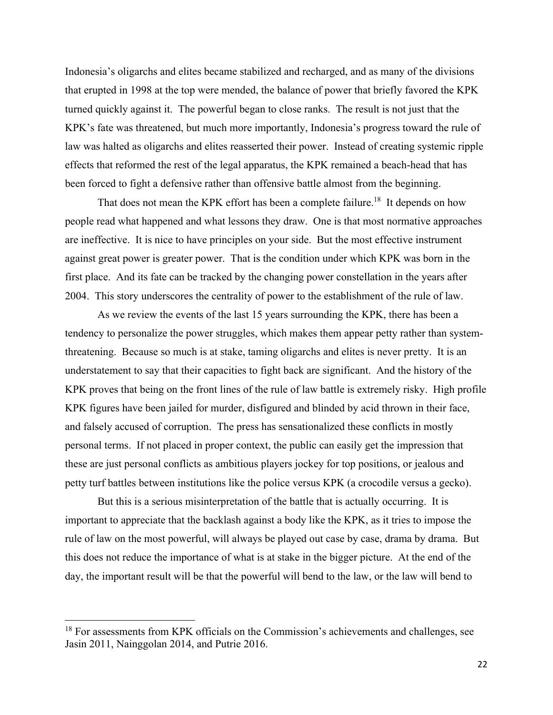Indonesia's oligarchs and elites became stabilized and recharged, and as many of the divisions that erupted in 1998 at the top were mended, the balance of power that briefly favored the KPK turned quickly against it. The powerful began to close ranks. The result is not just that the KPK's fate was threatened, but much more importantly, Indonesia's progress toward the rule of law was halted as oligarchs and elites reasserted their power. Instead of creating systemic ripple effects that reformed the rest of the legal apparatus, the KPK remained a beach-head that has been forced to fight a defensive rather than offensive battle almost from the beginning.

That does not mean the KPK effort has been a complete failure.<sup>18</sup> It depends on how people read what happened and what lessons they draw. One is that most normative approaches are ineffective. It is nice to have principles on your side. But the most effective instrument against great power is greater power. That is the condition under which KPK was born in the first place. And its fate can be tracked by the changing power constellation in the years after 2004. This story underscores the centrality of power to the establishment of the rule of law.

As we review the events of the last 15 years surrounding the KPK, there has been a tendency to personalize the power struggles, which makes them appear petty rather than systemthreatening. Because so much is at stake, taming oligarchs and elites is never pretty. It is an understatement to say that their capacities to fight back are significant. And the history of the KPK proves that being on the front lines of the rule of law battle is extremely risky. High profile KPK figures have been jailed for murder, disfigured and blinded by acid thrown in their face, and falsely accused of corruption. The press has sensationalized these conflicts in mostly personal terms. If not placed in proper context, the public can easily get the impression that these are just personal conflicts as ambitious players jockey for top positions, or jealous and petty turf battles between institutions like the police versus KPK (a crocodile versus a gecko).

But this is a serious misinterpretation of the battle that is actually occurring. It is important to appreciate that the backlash against a body like the KPK, as it tries to impose the rule of law on the most powerful, will always be played out case by case, drama by drama. But this does not reduce the importance of what is at stake in the bigger picture. At the end of the day, the important result will be that the powerful will bend to the law, or the law will bend to

<sup>&</sup>lt;sup>18</sup> For assessments from KPK officials on the Commission's achievements and challenges, see Jasin 2011, Nainggolan 2014, and Putrie 2016.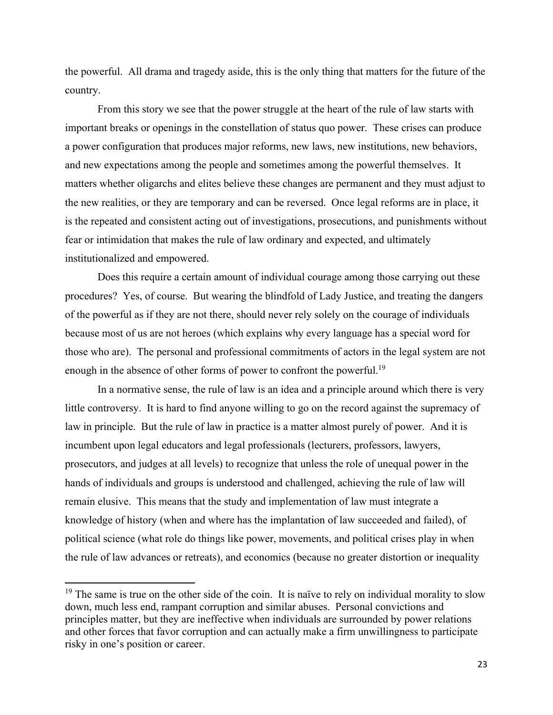the powerful. All drama and tragedy aside, this is the only thing that matters for the future of the country.

From this story we see that the power struggle at the heart of the rule of law starts with important breaks or openings in the constellation of status quo power. These crises can produce a power configuration that produces major reforms, new laws, new institutions, new behaviors, and new expectations among the people and sometimes among the powerful themselves. It matters whether oligarchs and elites believe these changes are permanent and they must adjust to the new realities, or they are temporary and can be reversed. Once legal reforms are in place, it is the repeated and consistent acting out of investigations, prosecutions, and punishments without fear or intimidation that makes the rule of law ordinary and expected, and ultimately institutionalized and empowered.

Does this require a certain amount of individual courage among those carrying out these procedures? Yes, of course. But wearing the blindfold of Lady Justice, and treating the dangers of the powerful as if they are not there, should never rely solely on the courage of individuals because most of us are not heroes (which explains why every language has a special word for those who are). The personal and professional commitments of actors in the legal system are not enough in the absence of other forms of power to confront the powerful.<sup>19</sup>

In a normative sense, the rule of law is an idea and a principle around which there is very little controversy. It is hard to find anyone willing to go on the record against the supremacy of law in principle. But the rule of law in practice is a matter almost purely of power. And it is incumbent upon legal educators and legal professionals (lecturers, professors, lawyers, prosecutors, and judges at all levels) to recognize that unless the role of unequal power in the hands of individuals and groups is understood and challenged, achieving the rule of law will remain elusive. This means that the study and implementation of law must integrate a knowledge of history (when and where has the implantation of law succeeded and failed), of political science (what role do things like power, movements, and political crises play in when the rule of law advances or retreats), and economics (because no greater distortion or inequality

 $19$  The same is true on the other side of the coin. It is naïve to rely on individual morality to slow down, much less end, rampant corruption and similar abuses. Personal convictions and principles matter, but they are ineffective when individuals are surrounded by power relations and other forces that favor corruption and can actually make a firm unwillingness to participate risky in one's position or career.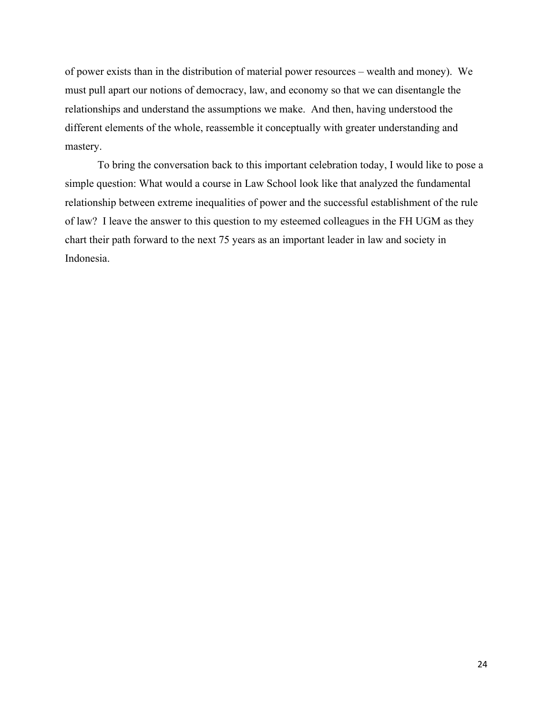of power exists than in the distribution of material power resources – wealth and money). We must pull apart our notions of democracy, law, and economy so that we can disentangle the relationships and understand the assumptions we make. And then, having understood the different elements of the whole, reassemble it conceptually with greater understanding and mastery.

 To bring the conversation back to this important celebration today, I would like to pose a simple question: What would a course in Law School look like that analyzed the fundamental relationship between extreme inequalities of power and the successful establishment of the rule of law? I leave the answer to this question to my esteemed colleagues in the FH UGM as they chart their path forward to the next 75 years as an important leader in law and society in Indonesia.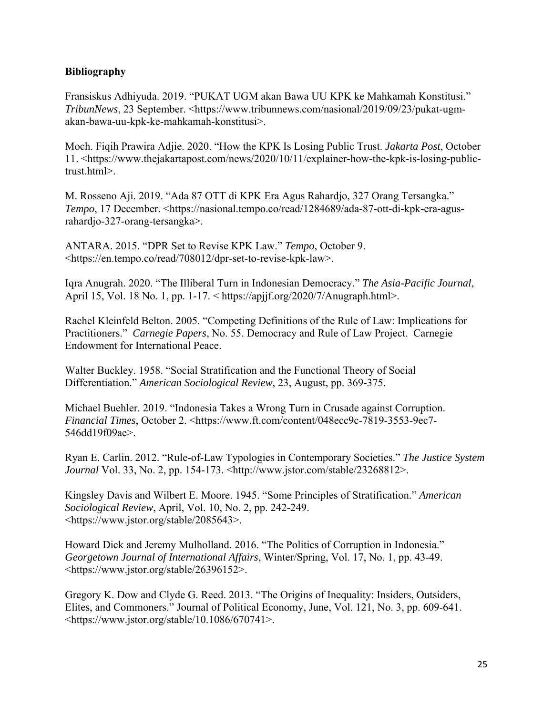## **Bibliography**

Fransiskus Adhiyuda. 2019. "PUKAT UGM akan Bawa UU KPK ke Mahkamah Konstitusi." *TribunNews*, 23 September. <https://www.tribunnews.com/nasional/2019/09/23/pukat-ugmakan-bawa-uu-kpk-ke-mahkamah-konstitusi>.

Moch. Fiqih Prawira Adjie. 2020. "How the KPK Is Losing Public Trust. *Jakarta Post*, October 11. <https://www.thejakartapost.com/news/2020/10/11/explainer-how-the-kpk-is-losing-publictrust.html>.

M. Rosseno Aji. 2019. "Ada 87 OTT di KPK Era Agus Rahardjo, 327 Orang Tersangka." *Tempo*, 17 December. <https://nasional.tempo.co/read/1284689/ada-87-ott-di-kpk-era-agusrahardjo-327-orang-tersangka>.

ANTARA. 2015. "DPR Set to Revise KPK Law." *Tempo*, October 9. <https://en.tempo.co/read/708012/dpr-set-to-revise-kpk-law>.

Iqra Anugrah. 2020. "The Illiberal Turn in Indonesian Democracy." *The Asia-Pacific Journal*, April 15, Vol. 18 No. 1, pp. 1-17. < https://apjjf.org/2020/7/Anugraph.html>.

Rachel Kleinfeld Belton. 2005. "Competing Definitions of the Rule of Law: Implications for Practitioners." *Carnegie Papers*, No. 55. Democracy and Rule of Law Project. Carnegie Endowment for International Peace.

Walter Buckley. 1958. "Social Stratification and the Functional Theory of Social Differentiation." *American Sociological Review*, 23, August, pp. 369-375.

Michael Buehler. 2019. "Indonesia Takes a Wrong Turn in Crusade against Corruption. *Financial Times*, October 2. <https://www.ft.com/content/048ecc9c-7819-3553-9ec7- 546dd19f09ae>.

Ryan E. Carlin. 2012. "Rule-of-Law Typologies in Contemporary Societies." *The Justice System Journal* Vol. 33, No. 2, pp. 154-173. <http://www.jstor.com/stable/23268812>.

Kingsley Davis and Wilbert E. Moore. 1945. "Some Principles of Stratification." *American Sociological Review*, April, Vol. 10, No. 2, pp. 242-249. <https://www.jstor.org/stable/2085643>.

Howard Dick and Jeremy Mulholland. 2016. "The Politics of Corruption in Indonesia." *Georgetown Journal of International Affairs*, Winter/Spring, Vol. 17, No. 1, pp. 43-49. <https://www.jstor.org/stable/26396152>.

Gregory K. Dow and Clyde G. Reed. 2013. "The Origins of Inequality: Insiders, Outsiders, Elites, and Commoners." Journal of Political Economy, June, Vol. 121, No. 3, pp. 609-641. <https://www.jstor.org/stable/10.1086/670741>.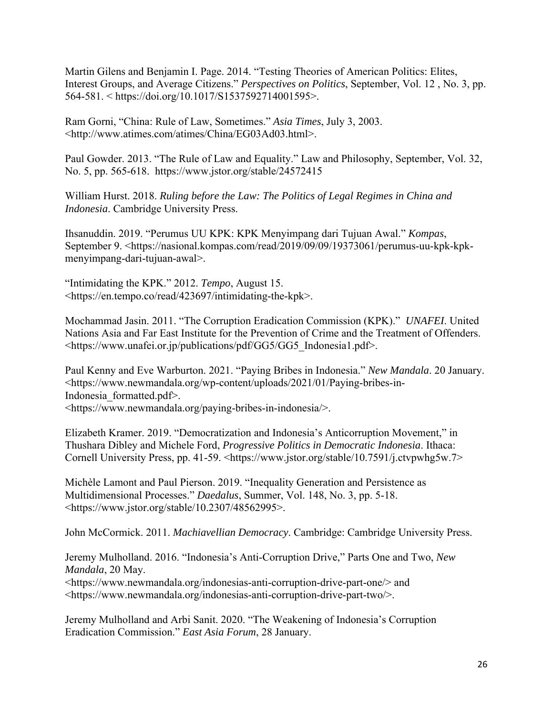Martin Gilens and Benjamin I. Page. 2014. "Testing Theories of American Politics: Elites, Interest Groups, and Average Citizens." *Perspectives on Politics*, September, Vol. 12 , No. 3, pp. 564-581. < https://doi.org/10.1017/S1537592714001595>.

Ram Gorni, "China: Rule of Law, Sometimes." *Asia Times*, July 3, 2003. <http://www.atimes.com/atimes/China/EG03Ad03.html>.

Paul Gowder. 2013. "The Rule of Law and Equality." Law and Philosophy, September, Vol. 32, No. 5, pp. 565-618. https://www.jstor.org/stable/24572415

William Hurst. 2018. *Ruling before the Law: The Politics of Legal Regimes in China and Indonesia*. Cambridge University Press.

Ihsanuddin. 2019. "Perumus UU KPK: KPK Menyimpang dari Tujuan Awal." *Kompas*, September 9. <https://nasional.kompas.com/read/2019/09/09/19373061/perumus-uu-kpk-kpkmenyimpang-dari-tujuan-awal>.

"Intimidating the KPK." 2012. *Tempo*, August 15. <https://en.tempo.co/read/423697/intimidating-the-kpk>.

Mochammad Jasin. 2011. "The Corruption Eradication Commission (KPK)." *UNAFEI*. United Nations Asia and Far East Institute for the Prevention of Crime and the Treatment of Offenders. <https://www.unafei.or.jp/publications/pdf/GG5/GG5\_Indonesia1.pdf>.

Paul Kenny and Eve Warburton. 2021. "Paying Bribes in Indonesia." *New Mandala*. 20 January. <https://www.newmandala.org/wp-content/uploads/2021/01/Paying-bribes-in-Indonesia\_formatted.pdf>. <https://www.newmandala.org/paying-bribes-in-indonesia/>.

Elizabeth Kramer. 2019. "Democratization and Indonesia's Anticorruption Movement," in Thushara Dibley and Michele Ford, *Progressive Politics in Democratic Indonesia*. Ithaca: Cornell University Press, pp. 41-59. <https://www.jstor.org/stable/10.7591/j.ctvpwhg5w.7>

Michèle Lamont and Paul Pierson. 2019. "Inequality Generation and Persistence as Multidimensional Processes." *Daedalus*, Summer, Vol. 148, No. 3, pp. 5-18. <https://www.jstor.org/stable/10.2307/48562995>.

John McCormick. 2011. *Machiavellian Democracy*. Cambridge: Cambridge University Press.

Jeremy Mulholland. 2016. "Indonesia's Anti-Corruption Drive," Parts One and Two, *New Mandala*, 20 May.

<https://www.newmandala.org/indonesias-anti-corruption-drive-part-one/> and <https://www.newmandala.org/indonesias-anti-corruption-drive-part-two/>.

Jeremy Mulholland and Arbi Sanit. 2020. "The Weakening of Indonesia's Corruption Eradication Commission." *East Asia Forum*, 28 January.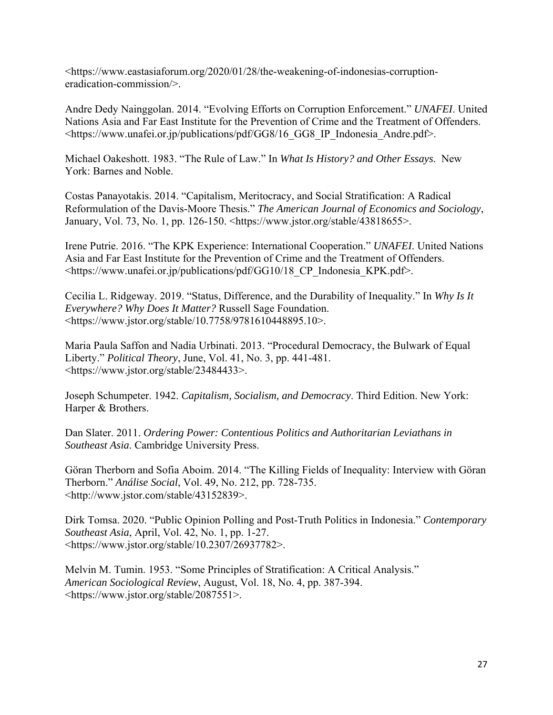<https://www.eastasiaforum.org/2020/01/28/the-weakening-of-indonesias-corruptioneradication-commission/>.

Andre Dedy Nainggolan. 2014. "Evolving Efforts on Corruption Enforcement." *UNAFEI*. United Nations Asia and Far East Institute for the Prevention of Crime and the Treatment of Offenders. <https://www.unafei.or.jp/publications/pdf/GG8/16\_GG8\_IP\_Indonesia\_Andre.pdf>.

Michael Oakeshott. 1983. "The Rule of Law." In *What Is History? and Other Essays*. New York: Barnes and Noble.

Costas Panayotakis. 2014. "Capitalism, Meritocracy, and Social Stratification: A Radical Reformulation of the Davis-Moore Thesis." *The American Journal of Economics and Sociology*, January, Vol. 73, No. 1, pp. 126-150. <https://www.jstor.org/stable/43818655>.

Irene Putrie. 2016. "The KPK Experience: International Cooperation." *UNAFEI*. United Nations Asia and Far East Institute for the Prevention of Crime and the Treatment of Offenders. <https://www.unafei.or.jp/publications/pdf/GG10/18\_CP\_Indonesia\_KPK.pdf>.

Cecilia L. Ridgeway. 2019. "Status, Difference, and the Durability of Inequality." In *Why Is It Everywhere? Why Does It Matter?* Russell Sage Foundation. <https://www.jstor.org/stable/10.7758/9781610448895.10>.

Maria Paula Saffon and Nadia Urbinati. 2013. "Procedural Democracy, the Bulwark of Equal Liberty." *Political Theory*, June, Vol. 41, No. 3, pp. 441-481. <https://www.jstor.org/stable/23484433>.

Joseph Schumpeter. 1942. *Capitalism, Socialism, and Democracy*. Third Edition. New York: Harper & Brothers.

Dan Slater. 2011. *Ordering Power: Contentious Politics and Authoritarian Leviathans in Southeast Asia*. Cambridge University Press.

Göran Therborn and Sofia Aboim. 2014. "The Killing Fields of Inequality: Interview with Göran Therborn." *Análise Social*, Vol. 49, No. 212, pp. 728-735. <http://www.jstor.com/stable/43152839>.

Dirk Tomsa. 2020. "Public Opinion Polling and Post-Truth Politics in Indonesia." *Contemporary Southeast Asia*, April, Vol. 42, No. 1, pp. 1-27. <https://www.jstor.org/stable/10.2307/26937782>.

Melvin M. Tumin. 1953. "Some Principles of Stratification: A Critical Analysis." *American Sociological Review*, August, Vol. 18, No. 4, pp. 387-394. <https://www.jstor.org/stable/2087551>.